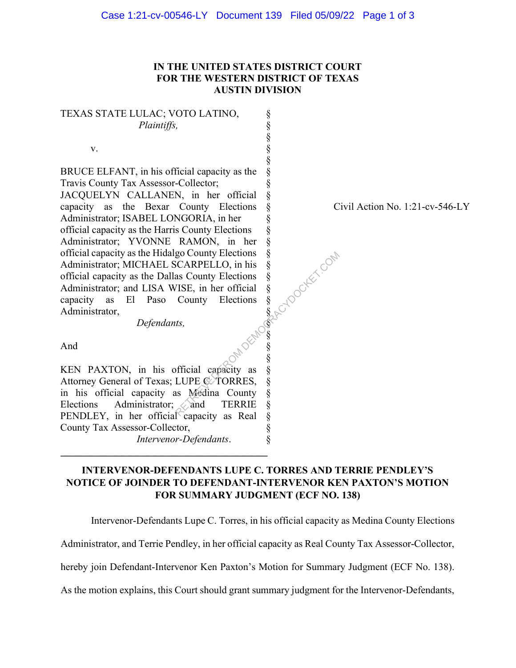## IN THE UNITED STATES DISTRICT COURT FOR THE WESTERN DISTRICT OF TEXAS AUSTIN DIVISION

§ § § § § § § § § § § § § § § § §  $\S$ § § § § § § § § § § §

TEXAS STATE LULAC; VOTO LATINO, Plaintiffs,

v.

BRUCE ELFANT, in his official capacity as the Travis County Tax Assessor-Collector; JACQUELYN CALLANEN, in her official capacity as the Bexar County Elections Administrator; ISABEL LONGORIA, in her official capacity as the Harris County Elections Administrator; YVONNE RAMON, in her official capacity as the Hidalgo County Elections Administrator; MICHAEL SCARPELLO, in his official capacity as the Dallas County Elections Administrator; and LISA WISE, in her official capacity as El Paso County Elections Administrator, go County Elections §<br>
SCARPELLO, in his §<br>
as County Elections §<br>
County Elections §<br>
County Elections §<br>
tts,<br>
tts,<br>
official capacity as §<br>
LUPE CTORRES, §<br>
is Medina County §<br>
and TERRIE §

Defendants,

Civil Action No. 1:21-cv-546-LY

And

KEN PAXTON, in his official capacity as Attorney General of Texas; LUPE C. TORRES, in his official capacity as Medina County Elections Administrator; and TERRIE PENDLEY, in her official capacity as Real County Tax Assessor-Collector,

 $\mathcal{L}_\text{max}$  , where  $\mathcal{L}_\text{max}$  is the set of the set of the set of the set of the set of the set of the set of the set of the set of the set of the set of the set of the set of the set of the set of the set of the se

Intervenor-Defendants.

## INTERVENOR-DEFENDANTS LUPE C. TORRES AND TERRIE PENDLEY'S NOTICE OF JOINDER TO DEFENDANT-INTERVENOR KEN PAXTON'S MOTION FOR SUMMARY JUDGMENT (ECF NO. 138)

Intervenor-Defendants Lupe C. Torres, in his official capacity as Medina County Elections

Administrator, and Terrie Pendley, in her official capacity as Real County Tax Assessor-Collector,

hereby join Defendant-Intervenor Ken Paxton's Motion for Summary Judgment (ECF No. 138).

As the motion explains, this Court should grant summary judgment for the Intervenor-Defendants,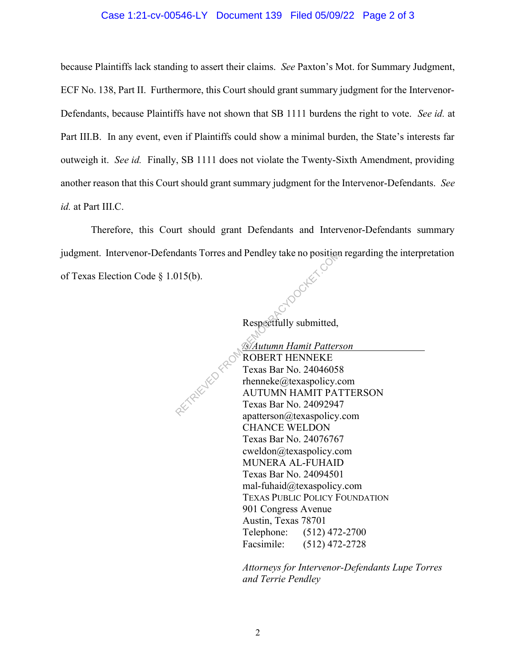## Case 1:21-cv-00546-LY Document 139 Filed 05/09/22 Page 2 of 3

because Plaintiffs lack standing to assert their claims. See Paxton's Mot. for Summary Judgment, ECF No. 138, Part II. Furthermore, this Court should grant summary judgment for the Intervenor-Defendants, because Plaintiffs have not shown that SB 1111 burdens the right to vote. See id. at Part III.B. In any event, even if Plaintiffs could show a minimal burden, the State's interests far outweigh it. See id. Finally, SB 1111 does not violate the Twenty-Sixth Amendment, providing another reason that this Court should grant summary judgment for the Intervenor-Defendants. See id. at Part III.C.

Therefore, this Court should grant Defendants and Intervenor-Defendants summary judgment. Intervenor-Defendants Torres and Pendley take no position regarding the interpretation of Texas Election Code § 1.015(b).

Respectfully submitted,

 /s/Autumn Hamit Patterson ROBERT HENNEKE Texas Bar No. 24046058 rhenneke@texaspolicy.com AUTUMN HAMIT PATTERSON Texas Bar No. 24092947 apatterson@texaspolicy.com CHANCE WELDON Texas Bar No. 24076767 cweldon@texaspolicy.com MUNERA AL-FUHAID Texas Bar No. 24094501 mal-fuhaid@texaspolicy.com TEXAS PUBLIC POLICY FOUNDATION 901 Congress Avenue Austin, Texas 78701 Telephone: (512) 472-2700 Facsimile: (512) 472-2728 dants Torres and Pendley take no position<br>
15(b).<br>
Respectfully submitted,<br>
Respectfully submitted,<br>
SAutumn Hamit Patter.<br>
Texas Bar No. 2404605:<br>
Texas Bar No. 2404605:<br>
AUTUMN HAMIT PA<br>
Texas Bar No. 2409294:<br>
apatterso

> Attorneys for Intervenor-Defendants Lupe Torres and Terrie Pendley